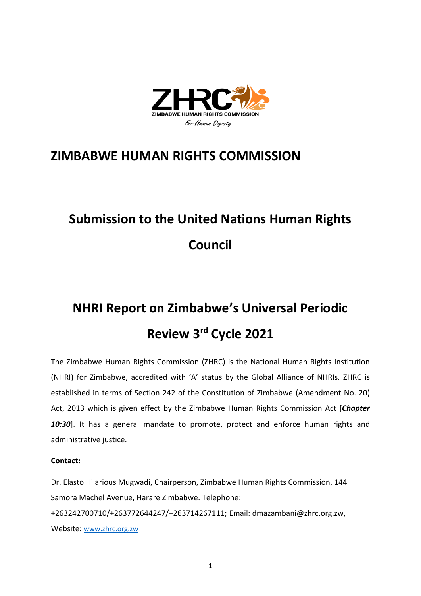

# **ZIMBABWE HUMAN RIGHTS COMMISSION**

# **Submission to the United Nations Human Rights Council**

# **NHRI Report on Zimbabwe'<sup>s</sup> Universal Periodic Review 3rd Cycle 2021**

The Zimbabwe Human Rights Commission (ZHRC) is the National Human Rights Institution (NHRI) for Zimbabwe, accredited with 'A' status by the Global Alliance of NHRIs. ZHRC is established in terms of Section 242 of the Constitution of Zimbabwe (Amendment No. 20) Act, 2013 which is given effect by the Zimbabwe Human Rights Commission Act [*Chapter 10:30*]. It has <sup>a</sup> general mandate to promote, protect and enforce human rights and administrative justice.

## **Contact:**

Dr. Elasto Hilarious Mugwadi, Chairperson, Zimbabwe Human Rights Commission, 144 Samora Machel Avenue, Harare Zimbabwe. Telephone: +263242700710/+263772644247/+263714267111; Email: dmazambani@zhrc.org.zw, Website: [www.zhrc.org.zw](http://www.zhrc.org.zw)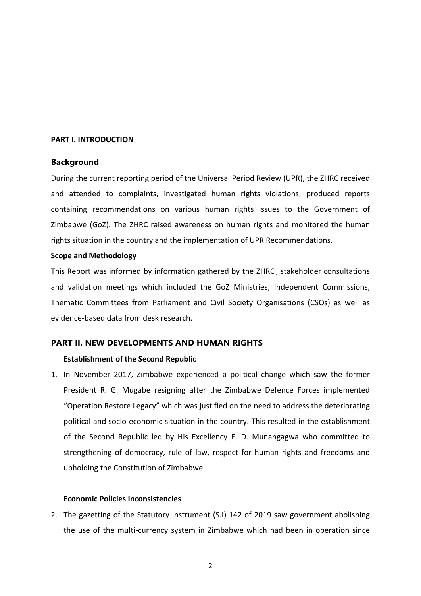#### **PART I. INTRODUCTION**

## **Background**

During the current reporting period of the Universal Period Review (UPR), the ZHRC received and attended to complaints, investigated human rights violations, produced reports containing recommendations on various human rights issues to the Government of Zimbabwe (GoZ). The ZHRC raised awareness on human rights and monitored the human rights situation in the country and the implementation of UPR Recommendations.

#### **Scope and Methodology**

This Report was informed by information gathered by the ZHRC<sup>i</sup>, stakeholder consultations and validation meetings which included the GoZ Ministries, Independent Commissions, Thematic Committees from Parliament and Civil Society Organisations (CSOs) as well as evidence-based data from desk research.

## **PART II. NEW DEVELOPMENTS AND HUMAN RIGHTS**

## **Establishment of the Second Republic**

1. In November 2017, Zimbabwe experienced <sup>a</sup> political change which saw the former President R. G. Mugabe resigning after the Zimbabwe Defence Forces implemented "Operation Restore Legacy" which was justified on the need to address the deteriorating political and socio-economic situation in the country. This resulted in the establishment of the Second Republic led by His Excellency E. D. Munangagwa who committed to strengthening of democracy, rule of law, respect for human rights and freedoms and upholding the Constitution of Zimbabwe.

#### **Economic Policies Inconsistencies**

2. The gazetting of the Statutory Instrument (S.I) 142 of 2019 saw government abolishing the use of the multi-currency system in Zimbabwe which had been in operation since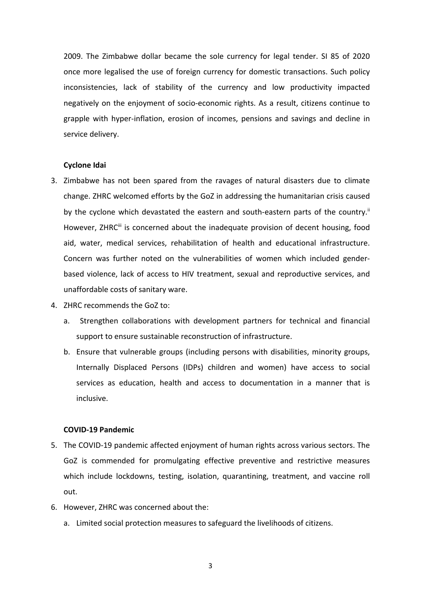2009. The Zimbabwe dollar became the sole currency for legal tender. SI 85 of 2020 once more legalised the use of foreign currency for domestic transactions. Such policy inconsistencies, lack of stability of the currency and low productivity impacted negatively on the enjoyment of socio-economic rights. As <sup>a</sup> result, citizens continue to grapple with hyper-inflation, erosion of incomes, pensions and savings and decline in service delivery.

#### **Cyclone Idai**

- 3. Zimbabwe has not been spared from the ravages of natural disasters due to climate change. ZHRC welcomed efforts by the GoZ in addressing the humanitarian crisis caused by the cyclone which devastated the eastern and south-eastern parts of the country.<sup>i</sup> However, ZHRC<sup>iii</sup> is concerned about the inadequate provision of decent housing, food aid, water, medical services, rehabilitation of health and educational infrastructure. Concern was further noted on the vulnerabilities of women which included genderbased violence, lack of access to HIV treatment, sexual and reproductive services, and unaffordable costs of sanitary ware.
- 4. ZHRC recommends the GoZ to:
	- a. Strengthen collaborations with development partners for technical and financial support to ensure sustainable reconstruction of infrastructure.
	- b. Ensure that vulnerable groups (including persons with disabilities, minority groups, Internally Displaced Persons (IDPs) children and women) have access to social services as education, health and access to documentation in <sup>a</sup> manner that is inclusive.

## **COVID-19 Pandemic**

- 5. The COVID-19 pandemic affected enjoyment of human rights across various sectors. The GoZ is commended for promulgating effective preventive and restrictive measures which include lockdowns, testing, isolation, quarantining, treatment, and vaccine roll out.
- 6. However, ZHRC was concerned about the:
	- a. Limited social protection measures to safeguard the livelihoods of citizens.

3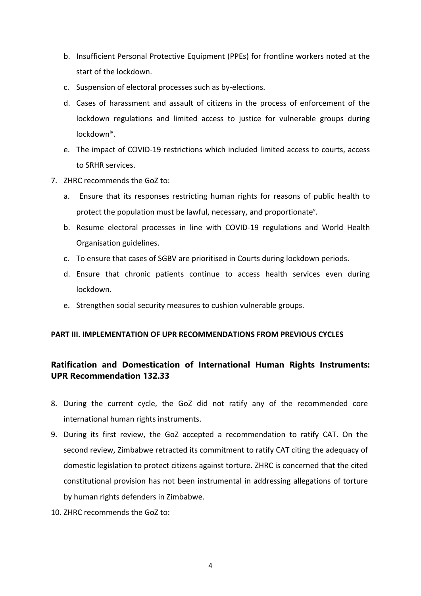- b. Insufficient Personal Protective Equipment (PPEs) for frontline workers noted at the start of the lockdown.
- c. Suspension of electoral processes such as by-elections.
- d. Cases of harassment and assault of citizens in the process of enforcement of the lockdown regulations and limited access to justice for vulnerable groups during lockdown<sup>iv</sup>.
- e. The impact of COVID-19 restrictions which included limited access to courts, access to SRHR services.
- 7. ZHRC recommends the GoZ to:
	- a. Ensure that its responses restricting human rights for reasons of public health to protect the population must be lawful, necessary, and proportionate<sup>v</sup>.
	- b. Resume electoral processes in line with COVID-19 regulations and World Health Organisation guidelines.
	- c. To ensure that cases of SGBV are prioritised in Courts during lockdown periods.
	- d. Ensure that chronic patients continue to access health services even during lockdown.
	- e. Strengthen social security measures to cushion vulnerable groups.

## **PART III. IMPLEMENTATION OF UPR RECOMMENDATIONS FROM PREVIOUS CYCLES**

## **Ratification and Domestication of International Human Rights Instruments: UPR Recommendation 132.33**

- 8. During the current cycle, the GoZ did not ratify any of the recommended core international human rights instruments.
- 9. During its first review, the GoZ accepted <sup>a</sup> recommendation to ratify CAT. On the second review, Zimbabwe retracted its commitment to ratify CAT citing the adequacy of domestic legislation to protect citizens against torture. ZHRC is concerned that the cited constitutional provision has not been instrumental in addressing allegations of torture by human rights defenders in Zimbabwe.
- 10. ZHRC recommends the GoZ to: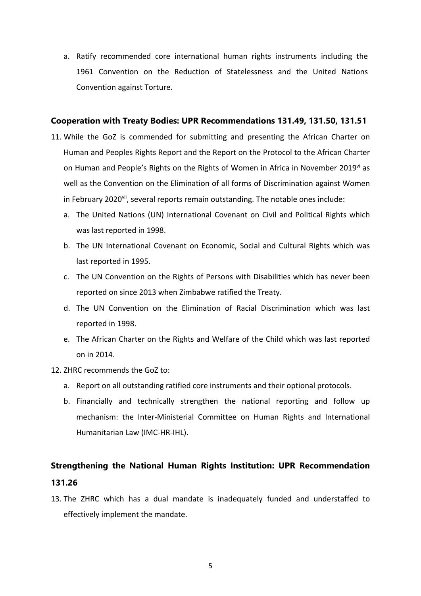a. Ratify recommended core international human rights instruments including the 1961 Convention on the Reduction of Statelessness and the United Nations Convention against Torture.

### **Cooperation with Treaty Bodies: UPR Recommendations 131.49, 131.50, 131.51**

- 11. While the GoZ is commended for submitting and presenting the African Charter on Human and Peoples Rights Report and the Report on the Protocol to the African Charter on Human and People's Rights on the Rights of Women in Africa in November 2019<sup>vi</sup> as well as the Convention on the Elimination of all forms of Discrimination against Women in February 2020<sup>vii</sup>, several reports remain outstanding. The notable ones include:
	- a. The United Nations (UN) International Covenant on Civil and Political Rights which was last reported in 1998.
	- b. The UN International Covenant on Economic, Social and Cultural Rights which was last reported in 1995.
	- c. The UN Convention on the Rights of Persons with Disabilities which has never been reported on since 2013 when Zimbabwe ratified the Treaty.
	- d. The UN Convention on the Elimination of Racial Discrimination which was last reported in 1998.
	- e. The African Charter on the Rights and Welfare of the Child which was last reported on in 2014.
- 12. ZHRC recommends the GoZ to:
	- a. Report on all outstanding ratified core instruments and their optional protocols.
	- b. Financially and technically strengthen the national reporting and follow up mechanism: the Inter-Ministerial Committee on Human Rights and International Humanitarian Law (IMC-HR-IHL).

## **Strengthening the National Human Rights Institution: UPR Recommendation 131.26**

13. The ZHRC which has <sup>a</sup> dual mandate is inadequately funded and understaffed to effectively implement the mandate.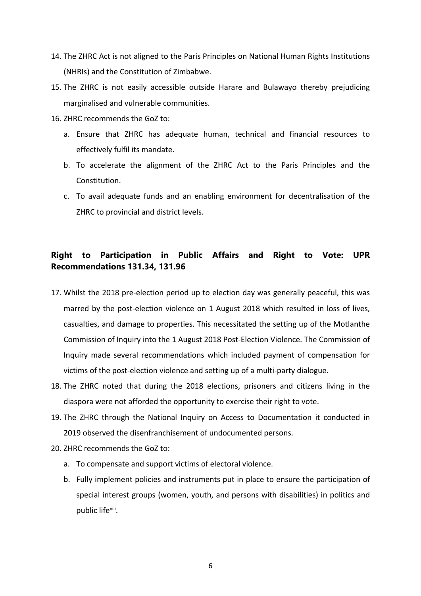- 14. The ZHRC Act is not aligned to the Paris Principles on National Human Rights Institutions (NHRIs) and the Constitution of Zimbabwe.
- 15. The ZHRC is not easily accessible outside Harare and Bulawayo thereby prejudicing marginalised and vulnerable communities.
- 16. ZHRC recommends the GoZ to:
	- a. Ensure that ZHRC has adequate human, technical and financial resources to effectively fulfil its mandate.
	- b. To accelerate the alignment of the ZHRC Act to the Paris Principles and the Constitution.
	- c. To avail adequate funds and an enabling environment for decentralisation of the ZHRC to provincial and district levels.

## **Right to Participation in Public Affairs and Right to Vote: UPR Recommendations 131.34, 131.96**

- 17. Whilst the 2018 pre-election period up to election day was generally peaceful, this was marred by the post-election violence on 1 August 2018 which resulted in loss of lives, casualties, and damage to properties. This necessitated the setting up of the Motlanthe Commission of Inquiry into the 1 August 2018 Post-Election Violence. The Commission of Inquiry made several recommendations which included payment of compensation for victims of the post-election violence and setting up of <sup>a</sup> multi-party dialogue.
- 18. The ZHRC noted that during the 2018 elections, prisoners and citizens living in the diaspora were not afforded the opportunity to exercise their right to vote.
- 19. The ZHRC through the National Inquiry on Access to Documentation it conducted in 2019 observed the disenfranchisement of undocumented persons.
- 20. ZHRC recommends the GoZ to:
	- a. To compensate and support victims of electoral violence.
	- b. Fully implement policies and instruments put in place to ensure the participation of special interest groups (women, youth, and persons with disabilities) in politics and public life<sup>viii</sup>.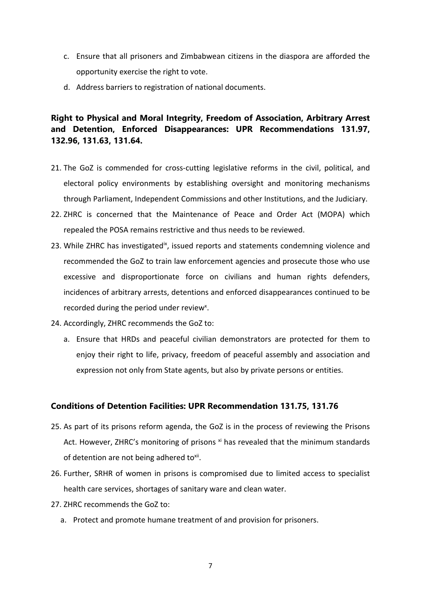- c. Ensure that all prisoners and Zimbabwean citizens in the diaspora are afforded the opportunity exercise the right to vote.
- d. Address barriers to registration of national documents.

## **Right to Physical and Moral Integrity, Freedom of Association, Arbitrary Arrest and Detention, Enforced Disappearances: UPR Recommendations 131.97, 132.96, 131.63, 131.64.**

- 21. The GoZ is commended for cross-cutting legislative reforms in the civil, political, and electoral policy environments by establishing oversight and monitoring mechanisms through Parliament, Independent Commissions and other Institutions, and the Judiciary.
- 22. ZHRC is concerned that the Maintenance of Peace and Order Act (MOPA) which repealed the POSA remains restrictive and thus needs to be reviewed.
- 23. While ZHRC has investigated<sup>ix</sup>, issued reports and statements condemning violence and recommended the GoZ to train law enforcement agencies and prosecute those who use excessive and disproportionate force on civilians and human rights defenders, incidences of arbitrary arrests, detentions and enforced disappearances continued to be recorded during the period under review<sup>x</sup>.
- 24. Accordingly, ZHRC recommends the GoZ to:
	- a. Ensure that HRDs and peaceful civilian demonstrators are protected for them to enjoy their right to life, privacy, freedom of peaceful assembly and association and expression not only from State agents, but also by private persons or entities.

## **Conditions of Detention Facilities: UPR Recommendation 131.75, 131.76**

- 25. As part of its prisons reform agenda, the GoZ is in the process of reviewing the Prisons Act. However, ZHRC's monitoring of prisons <sup>xi</sup> has revealed that the minimum standards of detention are not being adhered to<sup>xii</sup>.
- 26. Further, SRHR of women in prisons is compromised due to limited access to specialist health care services, shortages of sanitary ware and clean water.
- 27. ZHRC recommends the GoZ to:
	- a. Protect and promote humane treatment of and provision for prisoners.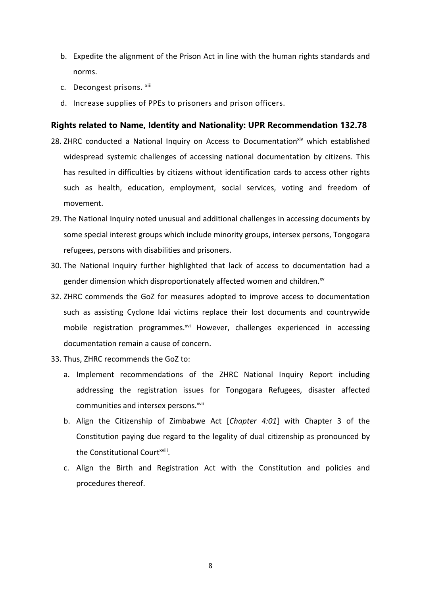- b. Expedite the alignment of the Prison Act in line with the human rights standards and norms.
- c. Decongest prisons. <sup>xiii</sup>
- d. Increase supplies of PPEs to prisoners and prison officers.

## **Rights related to Name, Identity and Nationality: UPR Recommendation 132.78**

- 28. ZHRC conducted a National Inquiry on Access to Documentation<sup>xiv</sup> which established widespread systemic challenges of accessing national documentation by citizens. This has resulted in difficulties by citizens without identification cards to access other rights such as health, education, employment, social services, voting and freedom of movement.
- 29. The National Inquiry noted unusual and additional challenges in accessing documents by some special interest groups which include minority groups, intersex persons, Tongogara refugees, persons with disabilities and prisoners.
- 30. The National Inquiry further highlighted that lack of access to documentation had <sup>a</sup> gender dimension which disproportionately affected women and children. $^{\text{sv}}$
- 32. ZHRC commends the GoZ for measures adopted to improve access to documentation such as assisting Cyclone Idai victims replace their lost documents and countrywide mobile registration programmes.<sup>xvi</sup> However, challenges experienced in accessing documentation remain <sup>a</sup> cause of concern.
- 33. Thus, ZHRC recommends the GoZ to:
	- a. Implement recommendations of the ZHRC National Inquiry Report including addressing the registration issues for Tongogara Refugees, disaster affected communities and intersex persons. xvii
	- b. Align the Citizenship of Zimbabwe Act [*Chapter 4:01*] with Chapter 3 of the Constitution paying due regard to the legality of dual citizenship as pronounced by the Constitutional Court<sup>xviii</sup>.
	- c. Align the Birth and Registration Act with the Constitution and policies and procedures thereof.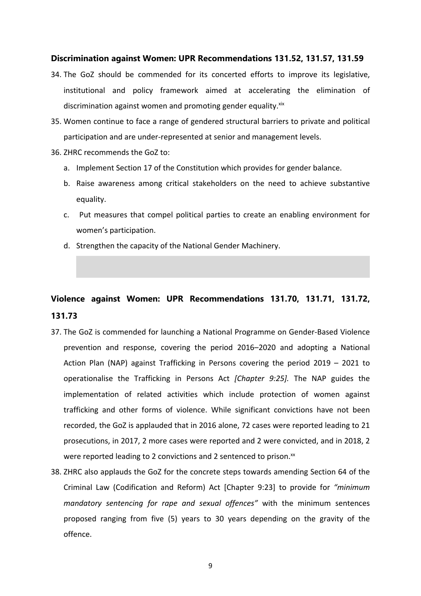### **Discrimination against Women: UPR Recommendations 131.52, 131.57, 131.59**

- 34. The GoZ should be commended for its concerted efforts to improve its legislative, institutional and policy framework aimed at accelerating the elimination of discrimination against women and promoting gender equality.<sup>xix</sup>
- 35. Women continue to face <sup>a</sup> range of gendered structural barriers to private and political participation and are under-represented at senior and management levels.
- 36. ZHRC recommends the GoZ to:
	- a. Implement Section 17 of the Constitution which provides for gender balance.
	- b. Raise awareness among critical stakeholders on the need to achieve substantive equality.
	- c. Put measures that compel political parties to create an enabling environment for women'<sup>s</sup> participation.
	- d. Strengthen the capacity of the National Gender Machinery.

## **Violence against Women: UPR Recommendations 131.70, 131.71, 131.72, 131.73**

- 37. The GoZ is commended for launching <sup>a</sup> National Programme on Gender-Based Violence prevention and response, covering the period 2016–2020 and adopting <sup>a</sup> National Action Plan (NAP) against Trafficking in Persons covering the period 2019 – 2021 to operationalise the Trafficking in Persons Act *[Chapter 9:25].* The NAP guides the implementation of related activities which include protection of women against trafficking and other forms of violence. While significant convictions have not been recorded, the GoZ is applauded that in 2016 alone, 72 cases were reported leading to 21 prosecutions, in 2017, 2 more cases were reported and 2 were convicted, and in 2018, 2 were reported leading to 2 convictions and 2 sentenced to prison. $^{xx}$
- 38. ZHRC also applauds the GoZ for the concrete steps towards amending Section 64 of the Criminal Law (Codification and Reform) Act [Chapter 9:23] to provide for *"minimum mandatory sentencing for rape and sexual offences"* with the minimum sentences proposed ranging from five (5) years to 30 years depending on the gravity of the offence.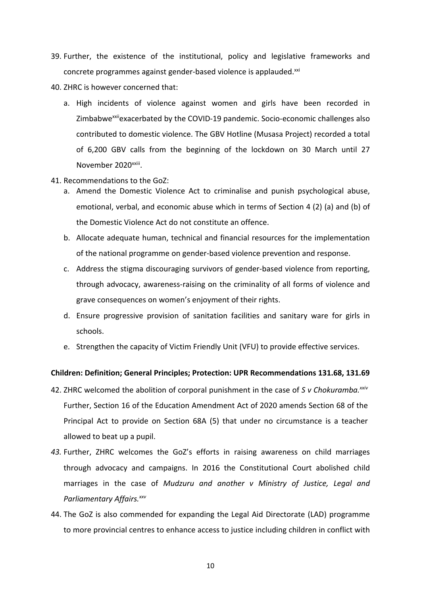- 39. Further, the existence of the institutional, policy and legislative frameworks and concrete programmes against gender-based violence is applauded. ${}^{\text{xx}}$
- 40. ZHRC is however concerned that:
	- a. High incidents of violence against women and girls have been recorded in Zimbabwe<sup>xxii</sup>exacerbated by the COVID-19 pandemic. Socio-economic challenges also contributed to domestic violence. The GBV Hotline (Musasa Project) recorded <sup>a</sup> total of 6,200 GBV calls from the beginning of the lockdown on 30 March until 27 November 2020<sup>xxiii</sup>.
- 41. Recommendations to the GoZ:
	- a. Amend the Domestic Violence Act to criminalise and punish psychological abuse, emotional, verbal, and economic abuse which in terms of Section 4 (2) (a) and (b) of the Domestic Violence Act do not constitute an offence.
	- b. Allocate adequate human, technical and financial resources for the implementation of the national programme on gender-based violence prevention and response.
	- c. Address the stigma discouraging survivors of gender-based violence from reporting, through advocacy, awareness-raising on the criminality of all forms of violence and grave consequences on women'<sup>s</sup> enjoyment of their rights.
	- d. Ensure progressive provision of sanitation facilities and sanitary ware for girls in schools.
	- e. Strengthen the capacity of Victim Friendly Unit (VFU) to provide effective services.

#### **Children: Definition; General Principles; Protection: UPR Recommendations 131.68, 131.69**

- 42. ZHRC welcomed the abolition of corporal punishment in the case of *S <sup>v</sup> Chokuramba. xxiv* Further, Section 16 of the Education Amendment Act of 2020 amends Section 68 of the Principal Act to provide on Section 68A (5) that under no circumstance is <sup>a</sup> teacher allowed to beat up <sup>a</sup> pupil.
- *43.* Further, ZHRC welcomes the GoZ'<sup>s</sup> efforts in raising awareness on child marriages through advocacy and campaigns. In 2016 the Constitutional Court abolished child marriages in the case of *Mudzuru and another <sup>v</sup> Ministry of Justice, Legal and Parliamentary Affairs. xxv*
- 44. The GoZ is also commended for expanding the Legal Aid Directorate (LAD) programme to more provincial centres to enhance access to justice including children in conflict with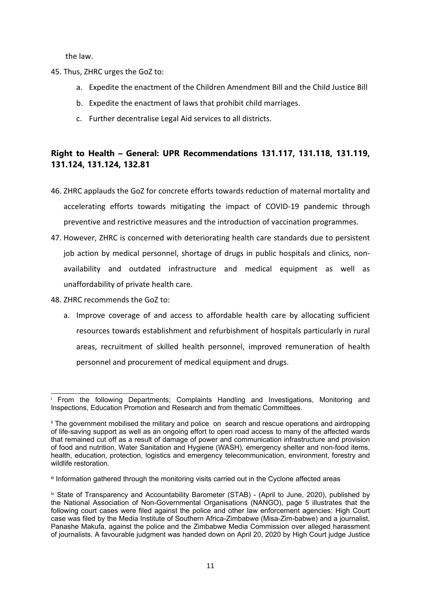the law.

- 45. Thus, ZHRC urges the GoZ to:
	- a. Expedite the enactment of the Children Amendment Bill and the Child Justice Bill
	- b. Expedite the enactment of laws that prohibit child marriages.
	- c. Further decentralise Legal Aid services to all districts.

## **Right to Health – General: UPR Recommendations 131.117, 131.118, 131.119, 131.124, 131.124, 132.81**

- 46. ZHRC applauds the GoZ for concrete efforts towards reduction of maternal mortality and accelerating efforts towards mitigating the impact of COVID-19 pandemic through preventive and restrictive measures and the introduction of vaccination programmes.
- 47. However, ZHRC is concerned with deteriorating health care standards due to persistent job action by medical personnel, shortage of drugs in public hospitals and clinics, nonavailability and outdated infrastructure and medical equipment as well as unaffordability of private health care.
- 48. ZHRC recommends the GoZ to:
	- a. Improve coverage of and access to affordable health care by allocating sufficient resources towards establishment and refurbishment of hospitals particularly in rural areas, recruitment of skilled health personnel, improved remuneration of health personnel and procurement of medical equipment and drugs.

i From the following Departments; Complaints Handling and Investigations, Monitoring and Inspections, Education Promotion and Research and from thematic Committees.

ii The government mobilised the military and police on search and rescue operations and airdropping of life-saving support as well as an ongoing effort to open road access to many of the affected wards that remained cut off as <sup>a</sup> result of damage of power and communication infrastructure and provision of food and nutrition, Water Sanitation and Hygiene (WASH), emergency shelter and non-food items, health, education, protection, logistics and emergency telecommunication, environment, forestry and wildlife restoration.

 $^{\text{\tiny{\text{III}}}}$  Information gathered through the monitoring visits carried out in the Cyclone affected areas

iv State of Transparency and Accountability Barometer (STAB) - (April to June, 2020), published by the National Association of Non-Governmental Organisations (NANGO), page 5 illustrates that the following court cases were filed against the police and other law enforcement agencies: High Court case was filed by the Media Institute of Southern Africa-Zimbabwe (Misa-Zim-babwe) and <sup>a</sup> journalist, Panashe Makufa, against the police and the Zimbabwe Media Commission over alleged harassment of journalists. A favourable judgment was handed down on April 20, 2020 by High Court judge Justice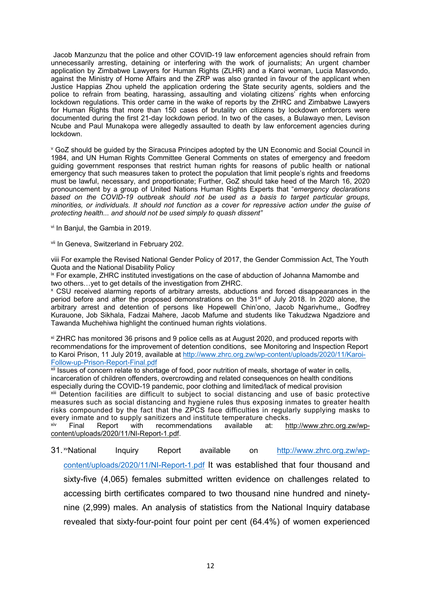Jacob Manzunzu that the police and other COVID-19 law enforcement agencies should refrain from unnecessarily arresting, detaining or interfering with the work of journalists; An urgent chamber application by Zimbabwe Lawyers for Human Rights (ZLHR) and <sup>a</sup> Karoi woman, Lucia Masvondo, against the Ministry of Home Affairs and the ZRP was also granted in favour of the applicant when Justice Happias Zhou upheld the application ordering the State security agents, soldiers and the police to refrain from beating, harassing, assaulting and violating citizens' rights when enforcing lockdown regulations. This order came in the wake of reports by the ZHRC and Zimbabwe Lawyers for Human Rights that more than 150 cases of brutality on citizens by lockdown enforcers were documented during the first 21-day lockdown period. In two of the cases, <sup>a</sup> Bulawayo men, Levison Ncube and Paul Munakopa were allegedly assaulted to death by law enforcement agencies during lockdown.

<sup>v</sup> GoZ should be guided by the Siracusa Principes adopted by the UN Economic and Social Council in 1984, and UN Human Rights Committee General Comments on states of emergency and freedom guiding government responses that restrict human rights for reasons of public health or national emergency that such measures taken to protect the population that limit people'<sup>s</sup> rights and freedoms must be lawful, necessary, and proportionate; Further, GoZ should take heed of the March 16, 2020 pronouncement by <sup>a</sup> group of United Nations Human Rights Experts that "*emergency declarations based on the COVID-19 outbreak should not be used as <sup>a</sup> basis to target particular groups, minorities, or individuals. It should not function as <sup>a</sup> cover for repressive action under the guise of protecting health... and should not be used simply to quash dissent"*

vi In Banjul, the Gambia in 2019.

<sup>vii</sup> In Geneva, Switzerland in February 202.

viii For example the Revised National Gender Policy of 2017, the Gender Commission Act, The Youth Quota and the National Disability Policy

<sup>ix</sup> For example, ZHRC instituted investigations on the case of abduction of Johanna Mamombe and two others…yet to get details of the investigation from ZHRC.

<sup>x</sup> CSU received alarming reports of arbitrary arrests, abductions and forced disappearances in the period before and after the proposed demonstrations on the 31<sup>st</sup> of July 2018. In 2020 alone, the arbitrary arrest and detention of persons like Hopewell Chin'ono, Jacob Ngarivhume,, Godfrey Kurauone, Job Sikhala, Fadzai Mahere, Jacob Mafume and students like Takudzwa Ngadziore and Tawanda Muchehiwa highlight the continued human rights violations.

xi ZHRC has monitored 36 prisons and 9 police cells as at August 2020, and produced reports with recommendations for the improvement of detention conditions, see Monitoring and Inspection Report to Karoi Prison, 11 July 2019, available at [http://www.zhrc.org.zw/wp-content/uploads/2020/11/Karoi-](http://www.zhrc.org.zw/wp-content/uploads/2020/11/Karoi-Follow-up-Prison-Report-Final.pdf)[Follow-up-Prison-Report-Final.pdf](http://www.zhrc.org.zw/wp-content/uploads/2020/11/Karoi-Follow-up-Prison-Report-Final.pdf)

xii Issues of concern relate to shortage of food, poor nutrition of meals, shortage of water in cells, incarceration of children offenders, overcrowding and related consequences on health conditions especially during the COVID-19 pandemic, poor clothing and limited/lack of medical provision xiii Detention facilities are difficult to subject to social distancing and use of basic protective measures such as social distancing and hygiene rules thus exposing inmates to greater health risks compounded by the fact that the ZPCS face difficulties in regularly supplying masks to every inmate and to supply sanitizers and institute temperature checks.

xiv Final Report with recommendations available at: [http://www.zhrc.org.zw/wp](http://www.zhrc.org.zw/wp-content/uploads/2020/11/NI-Report-1.pdf)[content/uploads/2020/11/NI-Report-1.pdf](http://www.zhrc.org.zw/wp-content/uploads/2020/11/NI-Report-1.pdf).

31.<sup>×v</sup> Inquiry Report available on [http://www.zhrc.org.zw/wp](http://www.zhrc.org.zw/wp-content/uploads/2020/11/NI-Report-1.pdf)[content/uploads/2020/11/NI-Report-1.pdf](http://www.zhrc.org.zw/wp-content/uploads/2020/11/NI-Report-1.pdf) It was established that four thousand and sixty-five (4,065) females submitted written evidence on challenges related to accessing birth certificates compared to two thousand nine hundred and ninetynine (2,999) males. An analysis of statistics from the National Inquiry database revealed that sixty-four-point four point per cent (64.4%) of women experienced